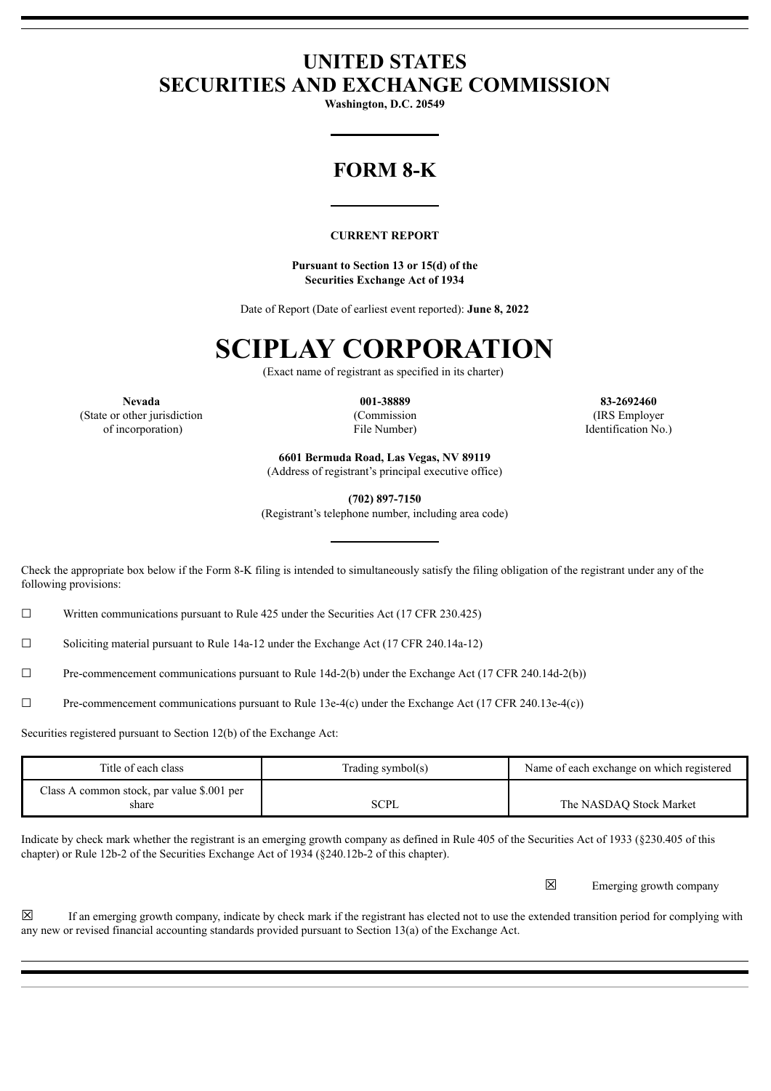## **UNITED STATES SECURITIES AND EXCHANGE COMMISSION**

**Washington, D.C. 20549**

# **FORM 8-K**

#### **CURRENT REPORT**

**Pursuant to Section 13 or 15(d) of the Securities Exchange Act of 1934**

Date of Report (Date of earliest event reported): **June 8, 2022**

# **SCIPLAY CORPORATION**

(Exact name of registrant as specified in its charter)

(State or other jurisdiction (Commission (IRS Employer

**Nevada 001-38889 83-2692460** of incorporation) File Number) Identification No.)

> **6601 Bermuda Road, Las Vegas, NV 89119** (Address of registrant's principal executive office)

> > **(702) 897-7150**

(Registrant's telephone number, including area code)

Check the appropriate box below if the Form 8-K filing is intended to simultaneously satisfy the filing obligation of the registrant under any of the following provisions:

 $\Box$  Written communications pursuant to Rule 425 under the Securities Act (17 CFR 230.425)

☐ Soliciting material pursuant to Rule 14a-12 under the Exchange Act (17 CFR 240.14a-12)

 $\Box$  Pre-commencement communications pursuant to Rule 14d-2(b) under the Exchange Act (17 CFR 240.14d-2(b))

☐ Pre-commencement communications pursuant to Rule 13e-4(c) under the Exchange Act (17 CFR 240.13e-4(c))

Securities registered pursuant to Section 12(b) of the Exchange Act:

| Title of each class                                 | Trading symbol(s) | Name of each exchange on which registered |
|-----------------------------------------------------|-------------------|-------------------------------------------|
| Class A common stock, par value \$.001 per<br>share | <b>SCPL</b>       | The NASDAO Stock Market                   |

Indicate by check mark whether the registrant is an emerging growth company as defined in Rule 405 of the Securities Act of 1933 (§230.405 of this chapter) or Rule 12b-2 of the Securities Exchange Act of 1934 (§240.12b-2 of this chapter).

☒ Emerging growth company

 $\boxtimes$  If an emerging growth company, indicate by check mark if the registrant has elected not to use the extended transition period for complying with any new or revised financial accounting standards provided pursuant to Section 13(a) of the Exchange Act.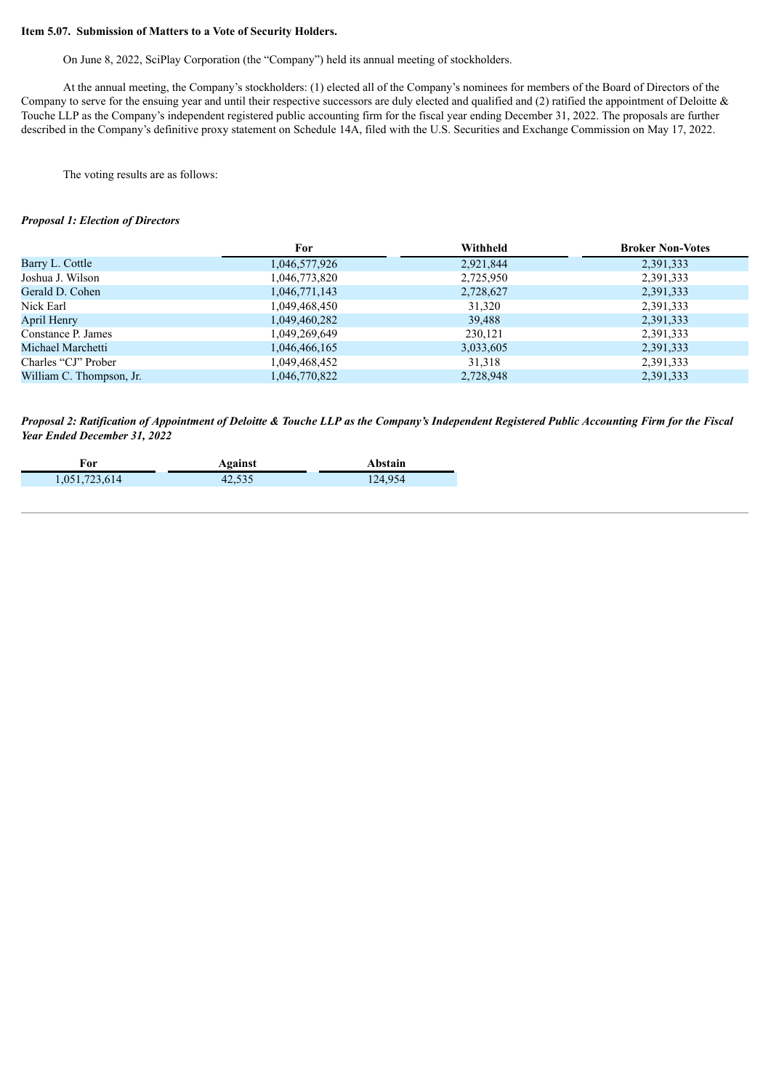#### **Item 5.07. Submission of Matters to a Vote of Security Holders.**

On June 8, 2022, SciPlay Corporation (the "Company") held its annual meeting of stockholders.

At the annual meeting, the Company's stockholders: (1) elected all of the Company's nominees for members of the Board of Directors of the Company to serve for the ensuing year and until their respective successors are duly elected and qualified and  $(2)$  ratified the appointment of Deloitte & Touche LLP as the Company's independent registered public accounting firm for the fiscal year ending December 31, 2022. The proposals are further described in the Company's definitive proxy statement on Schedule 14A, filed with the U.S. Securities and Exchange Commission on May 17, 2022.

The voting results are as follows:

#### *Proposal 1: Election of Directors*

|                          | For           | Withheld  | <b>Broker Non-Votes</b> |
|--------------------------|---------------|-----------|-------------------------|
| Barry L. Cottle          | 1,046,577,926 | 2,921,844 | 2,391,333               |
| Joshua J. Wilson         | 1,046,773,820 | 2,725,950 | 2,391,333               |
| Gerald D. Cohen          | 1,046,771,143 | 2,728,627 | 2,391,333               |
| Nick Earl                | 1,049,468,450 | 31,320    | 2,391,333               |
| April Henry              | 1,049,460,282 | 39,488    | 2,391,333               |
| Constance P. James       | 1,049,269,649 | 230,121   | 2,391,333               |
| Michael Marchetti        | 1,046,466,165 | 3,033,605 | 2,391,333               |
| Charles "CJ" Prober      | 1,049,468,452 | 31,318    | 2,391,333               |
| William C. Thompson, Jr. | 1,046,770,822 | 2,728,948 | 2,391,333               |
|                          |               |           |                         |

Proposal 2: Ratification of Appointment of Deloitte & Touche LLP as the Company's Independent Registered Public Accounting Firm for the Fiscal *Year Ended December 31, 2022*

| For           | Against | <b>\bstain</b> |
|---------------|---------|----------------|
| 1,051,723,614 | 42,535  | 124,954        |